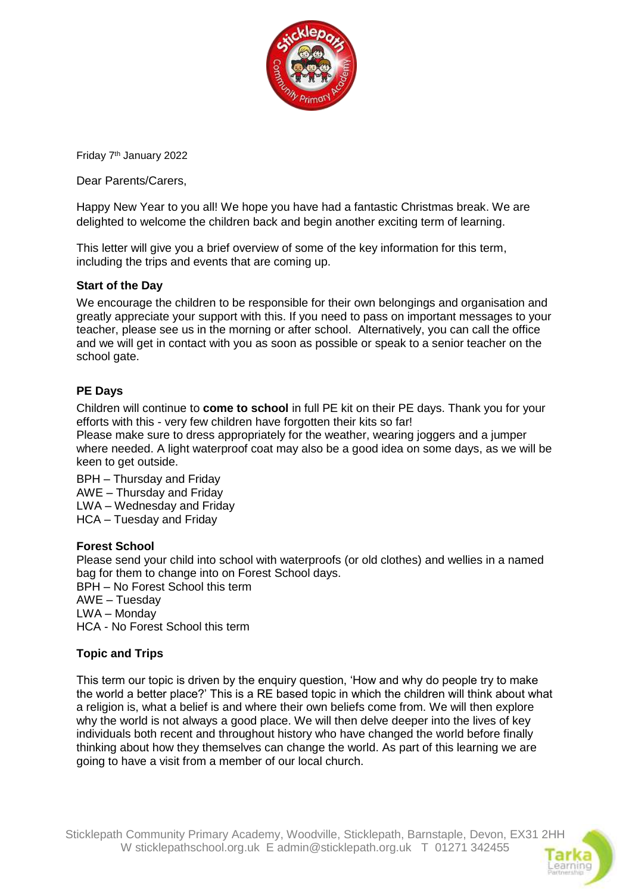

Friday 7th January 2022

Dear Parents/Carers,

Happy New Year to you all! We hope you have had a fantastic Christmas break. We are delighted to welcome the children back and begin another exciting term of learning.

This letter will give you a brief overview of some of the key information for this term, including the trips and events that are coming up.

### **Start of the Day**

We encourage the children to be responsible for their own belongings and organisation and greatly appreciate your support with this. If you need to pass on important messages to your teacher, please see us in the morning or after school. Alternatively, you can call the office and we will get in contact with you as soon as possible or speak to a senior teacher on the school gate.

### **PE Days**

Children will continue to **come to school** in full PE kit on their PE days. Thank you for your efforts with this - very few children have forgotten their kits so far!

Please make sure to dress appropriately for the weather, wearing joggers and a jumper where needed. A light waterproof coat may also be a good idea on some days, as we will be keen to get outside.

BPH – Thursday and Friday AWE – Thursday and Friday LWA – Wednesday and Friday HCA – Tuesday and Friday

#### **Forest School**

Please send your child into school with waterproofs (or old clothes) and wellies in a named bag for them to change into on Forest School days.

BPH – No Forest School this term AWE – Tuesday LWA – Monday HCA - No Forest School this term

### **Topic and Trips**

This term our topic is driven by the enquiry question, 'How and why do people try to make the world a better place?' This is a RE based topic in which the children will think about what a religion is, what a belief is and where their own beliefs come from. We will then explore why the world is not always a good place. We will then delve deeper into the lives of key individuals both recent and throughout history who have changed the world before finally thinking about how they themselves can change the world. As part of this learning we are going to have a visit from a member of our local church.